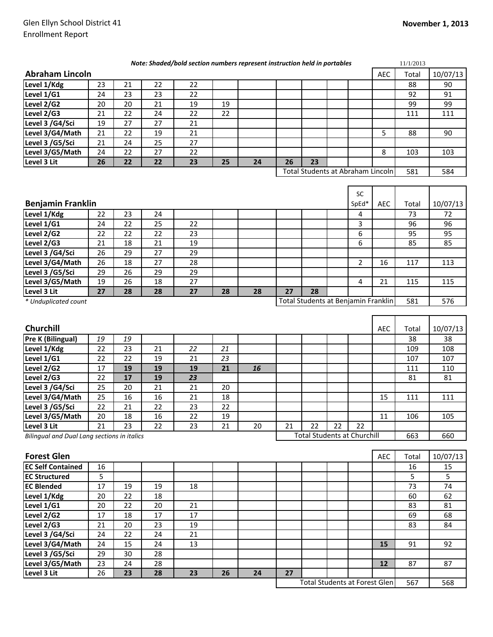| Note: Shaded/bold section numbers represent instruction held in portables |    |    |    |    |    |    |    |    |  | 11/1/2013                         |            |       |          |
|---------------------------------------------------------------------------|----|----|----|----|----|----|----|----|--|-----------------------------------|------------|-------|----------|
| <b>Abraham Lincoln</b>                                                    |    |    |    |    |    |    |    |    |  |                                   | <b>AEC</b> | Total | 10/07/13 |
| Level 1/Kdg                                                               | 23 | 21 | 22 | 22 |    |    |    |    |  |                                   |            | 88    | 90       |
| Level 1/G1                                                                | 24 | 23 | 23 | 22 |    |    |    |    |  |                                   |            | 92    | 91       |
| Level 2/G2                                                                | 20 | 20 | 21 | 19 | 19 |    |    |    |  |                                   |            | 99    | 99       |
| Level 2/G3                                                                | 21 | 22 | 24 | 22 | 22 |    |    |    |  |                                   |            | 111   | 111      |
| Level 3 /G4/Sci                                                           | 19 | 27 | 27 | 21 |    |    |    |    |  |                                   |            |       |          |
| Level 3/G4/Math                                                           | 21 | 22 | 19 | 21 |    |    |    |    |  |                                   | 5          | 88    | 90       |
| Level 3 /G5/Sci                                                           | 21 | 24 | 25 | 27 |    |    |    |    |  |                                   |            |       |          |
| Level 3/G5/Math                                                           | 24 | 22 | 27 | 22 |    |    |    |    |  |                                   | 8          | 103   | 103      |
| Level 3 Lit                                                               | 26 | 22 | 22 | 23 | 25 | 24 | 26 | 23 |  |                                   |            |       |          |
|                                                                           |    |    |    |    |    |    |    |    |  | Total Students at Abraham Lincoln |            | 581   | 584      |
|                                                                           |    |    |    |    |    |    |    |    |  |                                   |            |       |          |
|                                                                           |    |    |    |    |    |    |    |    |  | <b>SC</b>                         |            |       |          |
|                                                                           |    |    |    |    |    |    |    |    |  |                                   |            |       |          |

|                                                             |    |    |    |    |    |    |     |     |  | <b>SC</b> |            |       |          |
|-------------------------------------------------------------|----|----|----|----|----|----|-----|-----|--|-----------|------------|-------|----------|
| <b>Benjamin Franklin</b>                                    |    |    |    |    |    |    |     |     |  |           | <b>AEC</b> | Total | 10/07/13 |
| Level 1/Kdg                                                 | 22 | 23 | 24 |    |    |    |     |     |  | 4         |            | 73    | 72       |
| Level 1/G1                                                  | 24 | 22 | 25 | 22 |    |    |     |     |  | 3         |            | 96    | 96       |
| Level 2/G2                                                  | 22 | 22 | 22 | 23 |    |    |     |     |  | 6         |            | 95    | 95       |
| Level 2/G3                                                  | 21 | 18 | 21 | 19 |    |    |     |     |  | 6         |            | 85    | 85       |
| Level 3 /G4/Sci                                             | 26 | 29 | 27 | 29 |    |    |     |     |  |           |            |       |          |
| Level 3/G4/Math                                             | 26 | 18 | 27 | 28 |    |    |     |     |  |           | 16         | 117   | 113      |
| Level 3 /G5/Sci                                             | 29 | 26 | 29 | 29 |    |    |     |     |  |           |            |       |          |
| Level 3/G5/Math                                             | 19 | 26 | 18 | 27 |    |    |     |     |  | 4         | 21         | 115   | 115      |
| Level 3 Lit                                                 | 27 | 28 | 28 | 27 | 28 | 28 | 27  | 28  |  |           |            |       |          |
| Total Students at Benjamin Franklin<br>* Unduplicated count |    |    |    |    |    |    | 581 | 576 |  |           |            |       |          |

| <b>Churchill</b>                            |    |    |    |    |    |    |    |                                    |    |    | <b>AEC</b> | Total | 10/07/13 |
|---------------------------------------------|----|----|----|----|----|----|----|------------------------------------|----|----|------------|-------|----------|
| <b>Pre K (Bilingual)</b>                    | 19 | 19 |    |    |    |    |    |                                    |    |    |            | 38    | 38       |
| Level 1/Kdg                                 | 22 | 23 | 21 | 22 | 21 |    |    |                                    |    |    |            | 109   | 108      |
| Level 1/G1                                  | 22 | 22 | 19 | 21 | 23 |    |    |                                    |    |    |            | 107   | 107      |
| Level 2/G2                                  | 17 | 19 | 19 | 19 | 21 | 16 |    |                                    |    |    |            | 111   | 110      |
| Level 2/G3                                  | 22 | 17 | 19 | 23 |    |    |    |                                    |    |    |            | 81    | 81       |
| Level 3 /G4/Sci                             | 25 | 20 | 21 | 21 | 20 |    |    |                                    |    |    |            |       |          |
| Level 3/G4/Math                             | 25 | 16 | 16 | 21 | 18 |    |    |                                    |    |    | 15         | 111   | 111      |
| Level 3 /G5/Sci                             | 22 | 21 | 22 | 23 | 22 |    |    |                                    |    |    |            |       |          |
| Level 3/G5/Math                             | 20 | 18 | 16 | 22 | 19 |    |    |                                    |    |    | 11         | 106   | 105      |
| Level 3 Lit                                 | 21 | 23 | 22 | 23 | 21 | 20 | 21 | 22                                 | 22 | 22 |            |       |          |
| Bilingual and Dual Lang sections in italics |    |    |    |    |    |    |    | <b>Total Students at Churchill</b> |    |    |            | 663   | 660      |

| <b>Forest Glen</b>       |    |    |    |    |    |    |    |                                      |  | <b>AEC</b> | Total | 10/07/13 |
|--------------------------|----|----|----|----|----|----|----|--------------------------------------|--|------------|-------|----------|
| <b>EC Self Contained</b> | 16 |    |    |    |    |    |    |                                      |  |            | 16    | 15       |
| <b>EC Structured</b>     | 5  |    |    |    |    |    |    |                                      |  |            | 5     | 5        |
| <b>EC Blended</b>        | 17 | 19 | 19 | 18 |    |    |    |                                      |  |            | 73    | 74       |
| Level 1/Kdg              | 20 | 22 | 18 |    |    |    |    |                                      |  |            | 60    | 62       |
| Level 1/G1               | 20 | 22 | 20 | 21 |    |    |    |                                      |  |            | 83    | 81       |
| Level 2/G2               | 17 | 18 | 17 | 17 |    |    |    |                                      |  |            | 69    | 68       |
| Level 2/G3               | 21 | 20 | 23 | 19 |    |    |    |                                      |  |            | 83    | 84       |
| Level 3 /G4/Sci          | 24 | 22 | 24 | 21 |    |    |    |                                      |  |            |       |          |
| Level 3/G4/Math          | 24 | 15 | 24 | 13 |    |    |    |                                      |  | 15         | 91    | 92       |
| Level 3 /G5/Sci          | 29 | 30 | 28 |    |    |    |    |                                      |  |            |       |          |
| Level 3/G5/Math          | 23 | 24 | 28 |    |    |    |    |                                      |  | 12         | 87    | 87       |
| Level 3 Lit              | 26 | 23 | 28 | 23 | 26 | 24 | 27 |                                      |  |            |       |          |
|                          |    |    |    |    |    |    |    | <b>Total Students at Forest Glen</b> |  |            | 567   | 568      |